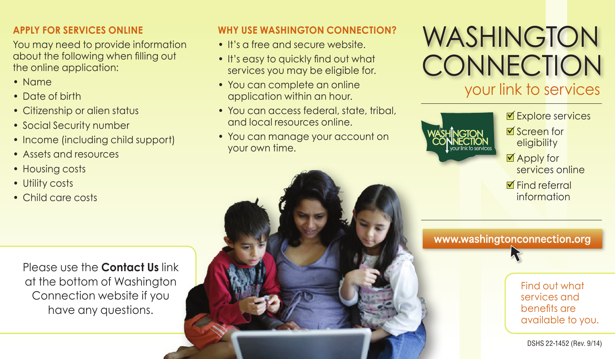### **APPLY FOR SERVICES ONLINE**

You may need to provide information about the following when filling out the online application:

- • Name
- Date of birth
- Citizenship or alien status
- Social Security number
- Income (including child support)
- Assets and resources
- Housing costs
- Utility costs
- • Child care costs

#### **WHY USE WASHINGTON CONNECTION?**

- It's a free and secure website.
- It's easy to quickly find out what services you may be eligible for.
- You can complete an online application within an hour.
- You can access federal, state, tribal, and local resources online.
- You can manage your account on your own time.



■Explore services ■Screen for eligibility

■ Apply for services online

**M** Find referral information

www.washingtonconnection.org

Please use the **Contact Us** link at the bottom of Washington Connection website if you have any questions.



Find out what services and benefits are